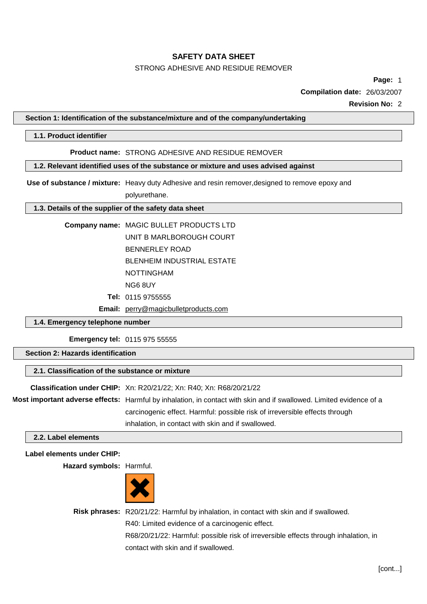## STRONG ADHESIVE AND RESIDUE REMOVER

**Page:** 1

**Compilation date:** 26/03/2007

**Revision No:** 2

#### **Section 1: Identification of the substance/mixture and of the company/undertaking**

#### **1.1. Product identifier**

## **Product name:** STRONG ADHESIVE AND RESIDUE REMOVER

## **1.2. Relevant identified uses of the substance or mixture and uses advised against**

**Use of substance / mixture:** Heavy duty Adhesive and resin remover,designed to remove epoxy and polyurethane.

#### **1.3. Details of the supplier of the safety data sheet**

| Company name: MAGIC BULLET PRODUCTS LTD |
|-----------------------------------------|
| UNIT B MARLBOROUGH COURT                |
| BENNERLEY ROAD                          |
| <b>BLENHEIM INDUSTRIAL ESTATE</b>       |
| <b>NOTTINGHAM</b>                       |
| NG6 8UY                                 |
| <b>Tel: 0115 9755555</b>                |

**Email:** [perry@magicbulletproducts.com](mailto:perry@magicbulletproducts.com)

#### **1.4. Emergency telephone number**

**Emergency tel:** 0115 975 55555

## **Section 2: Hazards identification**

## **2.1. Classification of the substance or mixture**

| Classification under CHIP: Xn: R20/21/22; Xn: R40; Xn: R68/20/21/22                                                 |  |  |
|---------------------------------------------------------------------------------------------------------------------|--|--|
| Most important adverse effects: Harmful by inhalation, in contact with skin and if swallowed. Limited evidence of a |  |  |
| carcinogenic effect. Harmful: possible risk of irreversible effects through                                         |  |  |
| inhalation, in contact with skin and if swallowed.                                                                  |  |  |

## **2.2. Label elements**

#### **Label elements under CHIP:**

**Hazard symbols:** Harmful.



**Risk phrases:** R20/21/22: Harmful by inhalation, in contact with skin and if swallowed. R40: Limited evidence of a carcinogenic effect.

> R68/20/21/22: Harmful: possible risk of irreversible effects through inhalation, in contact with skin and if swallowed.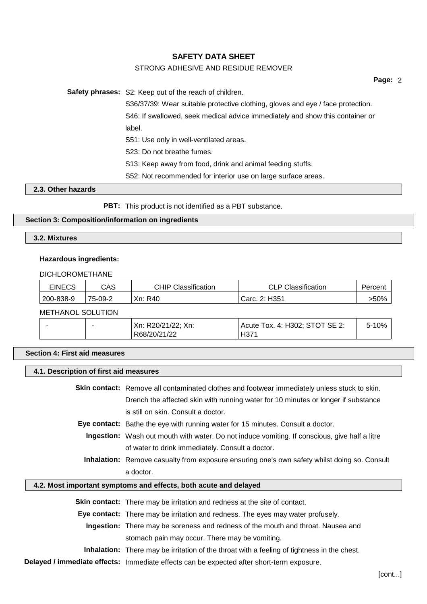## STRONG ADHESIVE AND RESIDUE REMOVER

**Page:** 2

**Safety phrases:** S2: Keep out of the reach of children. S36/37/39: Wear suitable protective clothing, gloves and eye / face protection. S46: If swallowed, seek medical advice immediately and show this container or label. S51: Use only in well-ventilated areas. S23: Do not breathe fumes. S13: Keep away from food, drink and animal feeding stuffs. S52: Not recommended for interior use on large surface areas.

## **2.3. Other hazards**

**PBT:** This product is not identified as a PBT substance.

## **Section 3: Composition/information on ingredients**

## **3.2. Mixtures**

# **Hazardous ingredients:**

#### DICHLOROMETHANE

| <b>EINECS</b> | CAS     | <b>CHIP Classification</b> | <b>CLP Classification</b> | Percent |
|---------------|---------|----------------------------|---------------------------|---------|
| 200-838-9     | 75-09-2 | Xn: R40                    | Carc. 2: H351             | $>50\%$ |
|               |         |                            |                           |         |

## METHANOL SOLUTION

|  | Xn:<br>R20/21/22; Xn: | Tox. 4: H302; STOT SE 2:<br>Acute | 10%<br>∽- |
|--|-----------------------|-----------------------------------|-----------|
|  | R68/20/21/22          | H37                               |           |

## **Section 4: First aid measures**

| 4.1. Description of first aid measures |                                                                                                      |  |  |
|----------------------------------------|------------------------------------------------------------------------------------------------------|--|--|
|                                        | <b>Skin contact:</b> Remove all contaminated clothes and footwear immediately unless stuck to skin.  |  |  |
|                                        | Drench the affected skin with running water for 10 minutes or longer if substance                    |  |  |
|                                        | is still on skin. Consult a doctor.                                                                  |  |  |
|                                        | <b>Eye contact:</b> Bathe the eye with running water for 15 minutes. Consult a doctor.               |  |  |
|                                        | <b>Ingestion:</b> Wash out mouth with water. Do not induce vomiting. If conscious, give half a litre |  |  |
|                                        | of water to drink immediately. Consult a doctor.                                                     |  |  |
|                                        | <b>Inhalation:</b> Remove casualty from exposure ensuring one's own safety whilst doing so. Consult  |  |  |
|                                        | a doctor.                                                                                            |  |  |
|                                        | 4.2. Most important symptoms and effects, both acute and delayed                                     |  |  |
|                                        | <b>Skin contact:</b> There may be irritation and redness at the site of contact.                     |  |  |
|                                        | <b>Eye contact:</b> There may be irritation and redness. The eyes may water profusely.               |  |  |
|                                        | Ingestion: There may be soreness and redness of the mouth and throat. Nausea and                     |  |  |
|                                        | stomach pain may occur. There may be vomiting.                                                       |  |  |
|                                        | <b>Inhalation:</b> There may be irritation of the throat with a feeling of tightness in the chest.   |  |  |
|                                        | Delayed / immediate effects: Immediate effects can be expected after short-term exposure.            |  |  |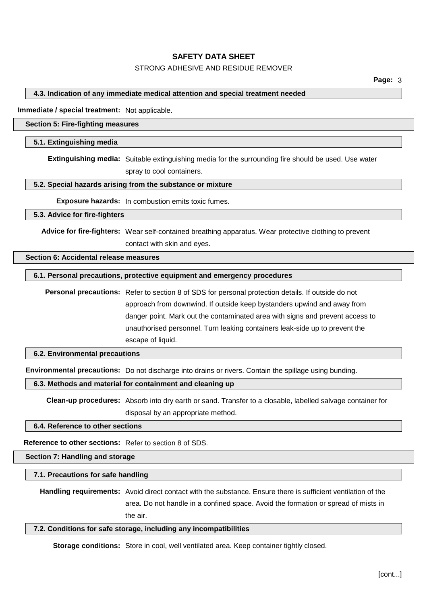## STRONG ADHESIVE AND RESIDUE REMOVER

#### **4.3. Indication of any immediate medical attention and special treatment needed**

**Immediate / special treatment:** Not applicable.

#### **Section 5: Fire-fighting measures**

#### **5.1. Extinguishing media**

**Extinguishing media:** Suitable extinguishing media for the surrounding fire should be used. Use water spray to cool containers.

## **5.2. Special hazards arising from the substance or mixture**

**Exposure hazards:** In combustion emits toxic fumes.

#### **5.3. Advice for fire-fighters**

**Advice for fire-fighters:** Wear self-contained breathing apparatus. Wear protective clothing to prevent contact with skin and eyes.

#### **Section 6: Accidental release measures**

#### **6.1. Personal precautions, protective equipment and emergency procedures**

**Personal precautions:** Refer to section 8 of SDS for personal protection details. If outside do not approach from downwind. If outside keep bystanders upwind and away from danger point. Mark out the contaminated area with signs and prevent access to unauthorised personnel. Turn leaking containers leak-side up to prevent the escape of liquid.

## **6.2. Environmental precautions**

**Environmental precautions:** Do not discharge into drains or rivers. Contain the spillage using bunding.

#### **6.3. Methods and material for containment and cleaning up**

**Clean-up procedures:** Absorb into dry earth or sand. Transfer to a closable, labelled salvage container for disposal by an appropriate method.

**6.4. Reference to other sections**

**Reference to other sections:** Refer to section 8 of SDS.

#### **Section 7: Handling and storage**

**7.1. Precautions for safe handling**

**Handling requirements:** Avoid direct contact with the substance. Ensure there is sufficient ventilation of the area. Do not handle in a confined space. Avoid the formation or spread of mists in the air.

#### **7.2. Conditions for safe storage, including any incompatibilities**

**Storage conditions:** Store in cool, well ventilated area. Keep container tightly closed.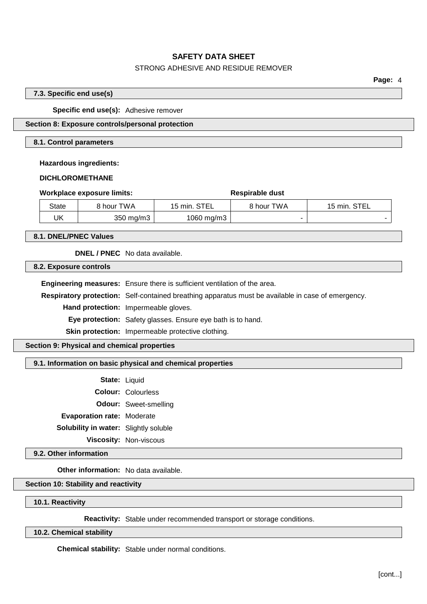## STRONG ADHESIVE AND RESIDUE REMOVER

**Page:** 4

## **7.3. Specific end use(s)**

**Specific end use(s):** Adhesive remover

## **Section 8: Exposure controls/personal protection**

#### **8.1. Control parameters**

**Hazardous ingredients:**

## **DICHLOROMETHANE**

| Workplace exposure limits: |                    | Respirable dust |            |              |
|----------------------------|--------------------|-----------------|------------|--------------|
| State                      | 8 hour TWA         | 15 min. STEL    | 8 hour TWA | 15 min. STEL |
| UK                         | $350 \text{ mg/m}$ | 1060 mg/m3      |            |              |

**8.1. DNEL/PNEC Values**

**DNEL / PNEC** No data available.

**8.2. Exposure controls**

**Engineering measures:** Ensure there is sufficient ventilation of the area.

**Respiratory protection:** Self-contained breathing apparatus must be available in case of emergency.

**Hand protection:** Impermeable gloves.

**Eye protection:** Safety glasses. Ensure eye bath is to hand.

**Skin protection:** Impermeable protective clothing.

**Section 9: Physical and chemical properties**

#### **9.1. Information on basic physical and chemical properties**

**State:** Liquid **Colour:** Colourless **Odour:** Sweet-smelling **Evaporation rate:** Moderate **Solubility in water:** Slightly soluble **Viscosity:** Non-viscous

**9.2. Other information**

**Other information:** No data available.

## **Section 10: Stability and reactivity**

**10.1. Reactivity**

**Reactivity:** Stable under recommended transport or storage conditions.

**10.2. Chemical stability**

**Chemical stability:** Stable under normal conditions.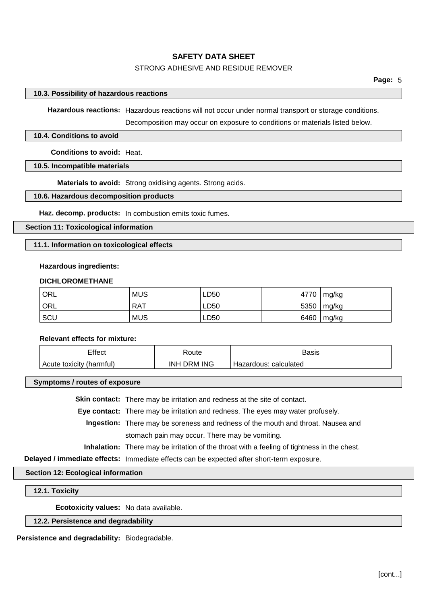## STRONG ADHESIVE AND RESIDUE REMOVER

## **10.3. Possibility of hazardous reactions**

**Hazardous reactions:** Hazardous reactions will not occur under normal transport or storage conditions.

Decomposition may occur on exposure to conditions or materials listed below.

## **10.4. Conditions to avoid**

**Conditions to avoid:** Heat.

## **10.5. Incompatible materials**

**Materials to avoid:** Strong oxidising agents. Strong acids.

## **10.6. Hazardous decomposition products**

**Haz. decomp. products:** In combustion emits toxic fumes.

#### **Section 11: Toxicological information**

## **11.1. Information on toxicological effects**

#### **Hazardous ingredients:**

#### **DICHLOROMETHANE**

| † ORL | <b>MUS</b> | LD50 | 4770 | mg/kg |
|-------|------------|------|------|-------|
| ORL   | <b>RAT</b> | LD50 | 5350 | mg/kg |
| SCU   | <b>MUS</b> | LD50 | 6460 | mg/kg |

## **Relevant effects for mixture:**

| Effect                   | रoute       | Basis                 |
|--------------------------|-------------|-----------------------|
| Acute toxicity (harmful) | INH DRM ING | Hazardous: calculated |

#### **Symptoms / routes of exposure**

**Skin contact:** There may be irritation and redness at the site of contact.

**Eye contact:** There may be irritation and redness. The eyes may water profusely.

**Ingestion:** There may be soreness and redness of the mouth and throat. Nausea and stomach pain may occur. There may be vomiting.

**Inhalation:** There may be irritation of the throat with a feeling of tightness in the chest.

**Delayed / immediate effects:** Immediate effects can be expected after short-term exposure.

#### **Section 12: Ecological information**

#### **12.1. Toxicity**

**Ecotoxicity values:** No data available.

## **12.2. Persistence and degradability**

**Persistence and degradability:** Biodegradable.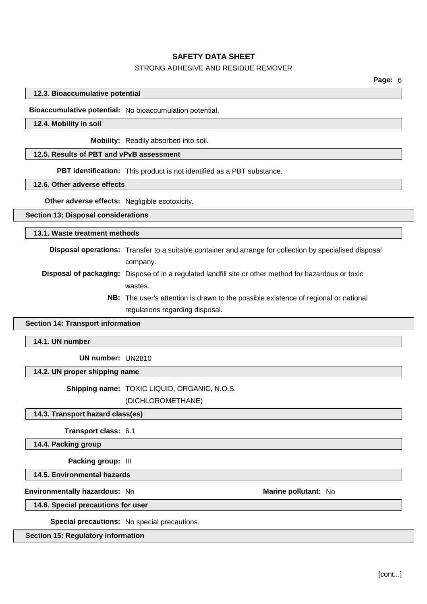## STRONG ADHESIVE AND RESIDUE REMOVER

## **12.3. Bioaccumulative potential**

**Bioaccumulative potential:** No bioaccumulation potential.

## **12.4. Mobility in soil**

**Mobility:** Readily absorbed into soil.

## **12.5. Results of PBT and vPvB assessment**

**PBT identification:** This product is not identified as a PBT substance.

## **12.6. Other adverse effects**

**Other adverse effects:** Negligible ecotoxicity.

#### **Section 13: Disposal considerations**

**13.1. Waste treatment methods**

**Disposal operations:** Transfer to a suitable container and arrange for collection by specialised disposal company.

- **Disposal of packaging:** Dispose of in a regulated landfill site or other method for hazardous or toxic wastes.
	- **NB:** The user's attention is drawn to the possible existence of regional or national regulations regarding disposal.

#### **Section 14: Transport information**

## **14.1. UN number**

**UN number:** UN2810

# **14.2. UN proper shipping name**

**Shipping name:** TOXIC LIQUID, ORGANIC, N.O.S.

(DICHLOROMETHANE)

#### **14.3. Transport hazard class(es)**

**Transport class:** 6.1

**14.4. Packing group**

**Packing group:** III

**14.5. Environmental hazards**

**Environmentally hazardous:** No **Marine pollutant:** No

**14.6. Special precautions for user**

**Special precautions:** No special precautions.

#### **Section 15: Regulatory information**